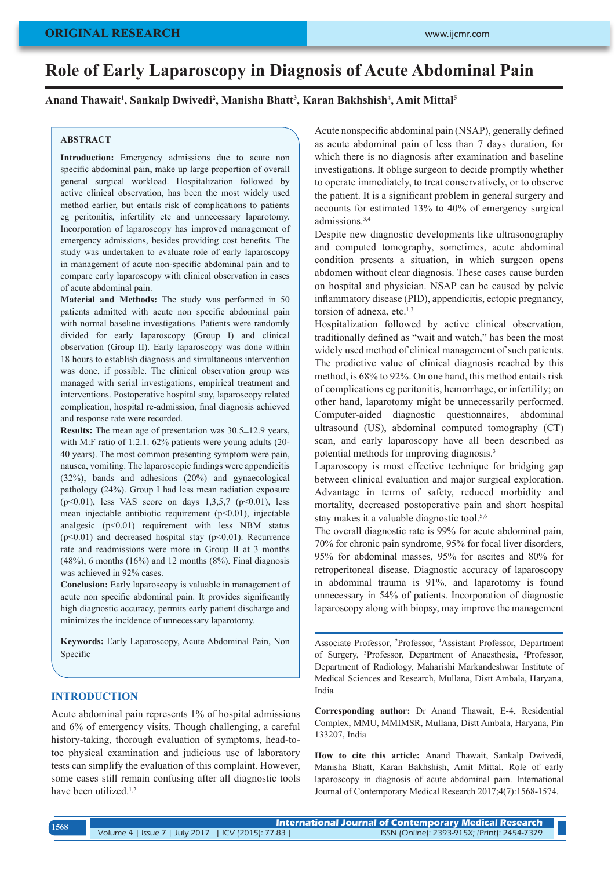## **ORIGINAL RESEARCH**

# **Role of Early Laparoscopy in Diagnosis of Acute Abdominal Pain**

## **Anand Thawait1 , Sankalp Dwivedi2 , Manisha Bhatt3 , Karan Bakhshish4 , Amit Mittal5**

## **ABSTRACT**

**Introduction:** Emergency admissions due to acute non specific abdominal pain, make up large proportion of overall general surgical workload. Hospitalization followed by active clinical observation, has been the most widely used method earlier, but entails risk of complications to patients eg peritonitis, infertility etc and unnecessary laparotomy. Incorporation of laparoscopy has improved management of emergency admissions, besides providing cost benefits. The study was undertaken to evaluate role of early laparoscopy in management of acute non-specific abdominal pain and to compare early laparoscopy with clinical observation in cases of acute abdominal pain.

**Material and Methods:** The study was performed in 50 patients admitted with acute non specific abdominal pain with normal baseline investigations. Patients were randomly divided for early laparoscopy (Group I) and clinical observation (Group II). Early laparoscopy was done within 18 hours to establish diagnosis and simultaneous intervention was done, if possible. The clinical observation group was managed with serial investigations, empirical treatment and interventions. Postoperative hospital stay, laparoscopy related complication, hospital re-admission, final diagnosis achieved and response rate were recorded.

**Results:** The mean age of presentation was 30.5±12.9 years, with M:F ratio of 1:2.1. 62% patients were young adults (20- 40 years). The most common presenting symptom were pain, nausea, vomiting. The laparoscopic findings were appendicitis (32%), bands and adhesions (20%) and gynaecological pathology (24%). Group I had less mean radiation exposure  $(p<0.01)$ , less VAS score on days 1,3,5,7  $(p<0.01)$ , less mean injectable antibiotic requirement (p<0.01), injectable analgesic  $(p<0.01)$  requirement with less NBM status  $(p<0.01)$  and decreased hospital stay  $(p<0.01)$ . Recurrence rate and readmissions were more in Group II at 3 months  $(48\%)$ , 6 months  $(16\%)$  and 12 months  $(8\%)$ . Final diagnosis was achieved in 92% cases.

**Conclusion:** Early laparoscopy is valuable in management of acute non specific abdominal pain. It provides significantly high diagnostic accuracy, permits early patient discharge and minimizes the incidence of unnecessary laparotomy.

**Keywords:** Early Laparoscopy, Acute Abdominal Pain, Non Specific

## **INTRODUCTION**

Acute abdominal pain represents 1% of hospital admissions and 6% of emergency visits. Though challenging, a careful history-taking, thorough evaluation of symptoms, head-totoe physical examination and judicious use of laboratory tests can simplify the evaluation of this complaint. However, some cases still remain confusing after all diagnostic tools have been utilized.<sup>1,2</sup>

Acute nonspecific abdominal pain (NSAP), generally defined as acute abdominal pain of less than 7 days duration, for which there is no diagnosis after examination and baseline investigations. It oblige surgeon to decide promptly whether to operate immediately, to treat conservatively, or to observe the patient. It is a significant problem in general surgery and accounts for estimated 13% to 40% of emergency surgical admissions.3,4

Despite new diagnostic developments like ultrasonography and computed tomography, sometimes, acute abdominal condition presents a situation, in which surgeon opens abdomen without clear diagnosis. These cases cause burden on hospital and physician. NSAP can be caused by pelvic inflammatory disease (PID), appendicitis, ectopic pregnancy, torsion of adnexa, etc. $1,3$ 

Hospitalization followed by active clinical observation, traditionally defined as "wait and watch," has been the most widely used method of clinical management of such patients. The predictive value of clinical diagnosis reached by this method, is 68% to 92%. On one hand, this method entails risk of complications eg peritonitis, hemorrhage, or infertility; on other hand, laparotomy might be unnecessarily performed. Computer-aided diagnostic questionnaires, abdominal ultrasound (US), abdominal computed tomography (CT) scan, and early laparoscopy have all been described as potential methods for improving diagnosis.3

Laparoscopy is most effective technique for bridging gap between clinical evaluation and major surgical exploration. Advantage in terms of safety, reduced morbidity and mortality, decreased postoperative pain and short hospital stay makes it a valuable diagnostic tool.<sup>5,6</sup>

The overall diagnostic rate is 99% for acute abdominal pain, 70% for chronic pain syndrome, 95% for focal liver disorders, 95% for abdominal masses, 95% for ascites and 80% for retroperitoneal disease. Diagnostic accuracy of laparoscopy in abdominal trauma is 91%, and laparotomy is found unnecessary in 54% of patients. Incorporation of diagnostic laparoscopy along with biopsy, may improve the management

Associate Professor, 2 Professor, <sup>4</sup> Assistant Professor, Department of Surgery, <sup>3</sup>Professor, Department of Anaesthesia, <sup>5</sup>Professor, Department of Radiology, Maharishi Markandeshwar Institute of Medical Sciences and Research, Mullana, Distt Ambala, Haryana, India

**Corresponding author:** Dr Anand Thawait, E-4, Residential Complex, MMU, MMIMSR, Mullana, Distt Ambala, Haryana, Pin 133207, India

**How to cite this article:** Anand Thawait, Sankalp Dwivedi, Manisha Bhatt, Karan Bakhshish, Amit Mittal. Role of early laparoscopy in diagnosis of acute abdominal pain. International Journal of Contemporary Medical Research 2017;4(7):1568-1574.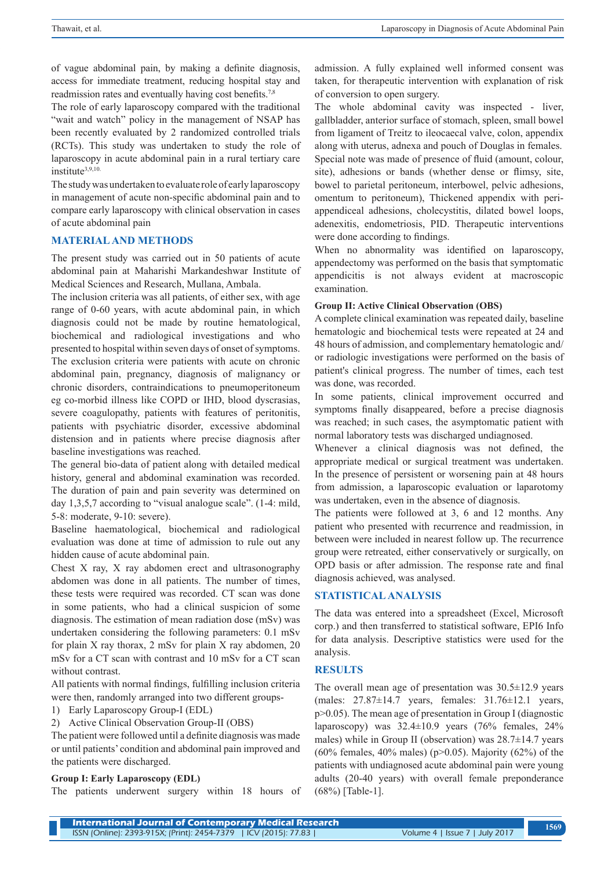of vague abdominal pain, by making a definite diagnosis, access for immediate treatment, reducing hospital stay and readmission rates and eventually having cost benefits.<sup>7,8</sup>

The role of early laparoscopy compared with the traditional "wait and watch" policy in the management of NSAP has been recently evaluated by 2 randomized controlled trials (RCTs). This study was undertaken to study the role of laparoscopy in acute abdominal pain in a rural tertiary care institute3,9,10.

The study was undertaken to evaluate role of early laparoscopy in management of acute non-specific abdominal pain and to compare early laparoscopy with clinical observation in cases of acute abdominal pain

#### **MATERIAL AND METHODS**

The present study was carried out in 50 patients of acute abdominal pain at Maharishi Markandeshwar Institute of Medical Sciences and Research, Mullana, Ambala.

The inclusion criteria was all patients, of either sex, with age range of 0-60 years, with acute abdominal pain, in which diagnosis could not be made by routine hematological, biochemical and radiological investigations and who presented to hospital within seven days of onset of symptoms. The exclusion criteria were patients with acute on chronic abdominal pain, pregnancy, diagnosis of malignancy or chronic disorders, contraindications to pneumoperitoneum eg co-morbid illness like COPD or IHD, blood dyscrasias, severe coagulopathy, patients with features of peritonitis, patients with psychiatric disorder, excessive abdominal distension and in patients where precise diagnosis after baseline investigations was reached.

The general bio-data of patient along with detailed medical history, general and abdominal examination was recorded. The duration of pain and pain severity was determined on day 1,3,5,7 according to "visual analogue scale". (1-4: mild, 5-8: moderate, 9-10: severe).

Baseline haematological, biochemical and radiological evaluation was done at time of admission to rule out any hidden cause of acute abdominal pain.

Chest X ray, X ray abdomen erect and ultrasonography abdomen was done in all patients. The number of times, these tests were required was recorded. CT scan was done in some patients, who had a clinical suspicion of some diagnosis. The estimation of mean radiation dose (mSv) was undertaken considering the following parameters: 0.1 mSv for plain X ray thorax, 2 mSv for plain X ray abdomen, 20 mSv for a CT scan with contrast and 10 mSv for a CT scan without contrast.

All patients with normal findings, fulfilling inclusion criteria were then, randomly arranged into two different groups-

1) Early Laparoscopy Group-I (EDL)

2) Active Clinical Observation Group-II (OBS)

The patient were followed until a definite diagnosis was made or until patients' condition and abdominal pain improved and the patients were discharged.

#### **Group I: Early Laparoscopy (EDL)**

The patients underwent surgery within 18 hours of

admission. A fully explained well informed consent was taken, for therapeutic intervention with explanation of risk of conversion to open surgery.

The whole abdominal cavity was inspected - liver, gallbladder, anterior surface of stomach, spleen, small bowel from ligament of Treitz to ileocaecal valve, colon, appendix along with uterus, adnexa and pouch of Douglas in females. Special note was made of presence of fluid (amount, colour, site), adhesions or bands (whether dense or flimsy, site, bowel to parietal peritoneum, interbowel, pelvic adhesions, omentum to peritoneum), Thickened appendix with periappendiceal adhesions, cholecystitis, dilated bowel loops, adenexitis, endometriosis, PID. Therapeutic interventions were done according to findings.

When no abnormality was identified on laparoscopy, appendectomy was performed on the basis that symptomatic appendicitis is not always evident at macroscopic examination.

#### **Group II: Active Clinical Observation (OBS)**

A complete clinical examination was repeated daily, baseline hematologic and biochemical tests were repeated at 24 and 48 hours of admission, and complementary hematologic and/ or radiologic investigations were performed on the basis of patient's clinical progress. The number of times, each test was done, was recorded.

In some patients, clinical improvement occurred and symptoms finally disappeared, before a precise diagnosis was reached; in such cases, the asymptomatic patient with normal laboratory tests was discharged undiagnosed.

Whenever a clinical diagnosis was not defined, the appropriate medical or surgical treatment was undertaken. In the presence of persistent or worsening pain at 48 hours from admission, a laparoscopic evaluation or laparotomy was undertaken, even in the absence of diagnosis.

The patients were followed at 3, 6 and 12 months. Any patient who presented with recurrence and readmission, in between were included in nearest follow up. The recurrence group were retreated, either conservatively or surgically, on OPD basis or after admission. The response rate and final diagnosis achieved, was analysed.

## **STATISTICAL ANALYSIS**

The data was entered into a spreadsheet (Excel, Microsoft corp.) and then transferred to statistical software, EPI6 Info for data analysis. Descriptive statistics were used for the analysis.

#### **RESULTS**

The overall mean age of presentation was  $30.5 \pm 12.9$  years (males: 27.87±14.7 years, females: 31.76±12.1 years, p>0.05). The mean age of presentation in Group I (diagnostic laparoscopy) was  $32.4 \pm 10.9$  years  $(76\%$  females,  $24\%$ males) while in Group II (observation) was 28.7±14.7 years (60% females, 40% males) ( $p > 0.05$ ). Majority (62%) of the patients with undiagnosed acute abdominal pain were young adults (20-40 years) with overall female preponderance (68%) [Table-1].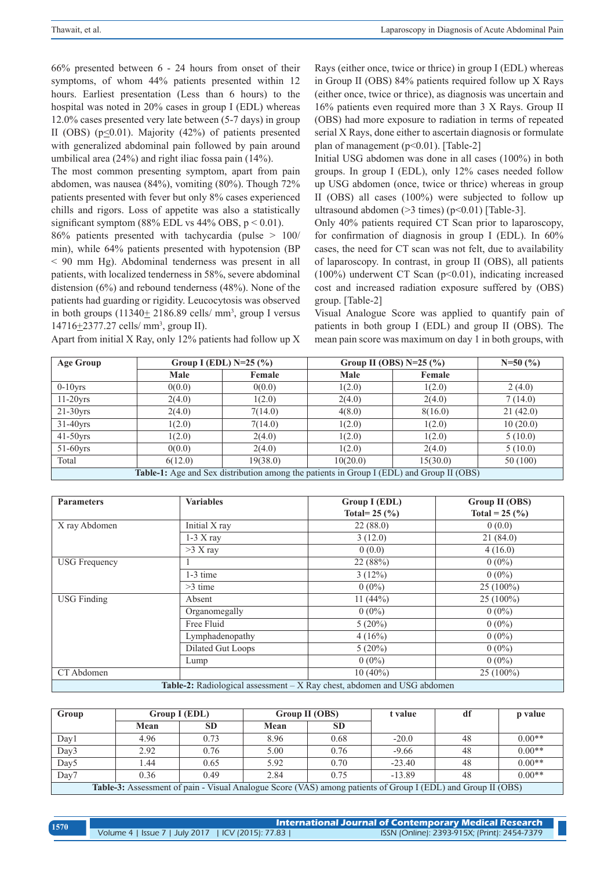66% presented between 6 - 24 hours from onset of their symptoms, of whom 44% patients presented within 12 hours. Earliest presentation (Less than 6 hours) to the hospital was noted in 20% cases in group I (EDL) whereas 12.0% cases presented very late between (5-7 days) in group II (OBS) ( $p<0.01$ ). Majority (42%) of patients presented with generalized abdominal pain followed by pain around umbilical area (24%) and right iliac fossa pain (14%).

The most common presenting symptom, apart from pain abdomen, was nausea (84%), vomiting (80%). Though 72% patients presented with fever but only 8% cases experienced chills and rigors. Loss of appetite was also a statistically significant symptom  $(88\%$  EDL vs  $44\%$  OBS,  $p < 0.01$ ).

86% patients presented with tachycardia (pulse > 100/ min), while 64% patients presented with hypotension (BP < 90 mm Hg). Abdominal tenderness was present in all patients, with localized tenderness in 58%, severe abdominal distension (6%) and rebound tenderness (48%). None of the patients had guarding or rigidity. Leucocytosis was observed in both groups  $(11340 \pm 2186.89 \text{ cells/mm}^3)$ , group I versus  $14716 \pm 2377.27$  cells/ mm<sup>3</sup>, group II).

Rays (either once, twice or thrice) in group I (EDL) whereas in Group II (OBS) 84% patients required follow up X Rays (either once, twice or thrice), as diagnosis was uncertain and 16% patients even required more than 3 X Rays. Group II (OBS) had more exposure to radiation in terms of repeated serial X Rays, done either to ascertain diagnosis or formulate plan of management (p<0.01). [Table-2]

Initial USG abdomen was done in all cases (100%) in both groups. In group I (EDL), only 12% cases needed follow up USG abdomen (once, twice or thrice) whereas in group II (OBS) all cases (100%) were subjected to follow up ultrasound abdomen  $(>3$  times)  $(p<0.01)$  [Table-3].

Only 40% patients required CT Scan prior to laparoscopy, for confirmation of diagnosis in group I (EDL). In 60% cases, the need for CT scan was not felt, due to availability of laparoscopy. In contrast, in group II (OBS), all patients (100%) underwent CT Scan (p<0.01), indicating increased cost and increased radiation exposure suffered by (OBS) group. [Table-2]

Visual Analogue Score was applied to quantify pain of patients in both group I (EDL) and group II (OBS). The mean pain score was maximum on day 1 in both groups, with

| Age Group                                                                                | Group I (EDL) $N=25$ (%) |          | Group II (OBS) $N=25$ (%) | $N=50(%)$ |          |  |  |
|------------------------------------------------------------------------------------------|--------------------------|----------|---------------------------|-----------|----------|--|--|
|                                                                                          | Male                     | Female   | Male                      | Female    |          |  |  |
| $0-10$ yrs                                                                               | 0(0.0)                   | 0(0.0)   | 1(2.0)                    | 1(2.0)    | 2(4.0)   |  |  |
| $11-20$ yrs                                                                              | 2(4.0)                   | 1(2.0)   | 2(4.0)                    | 2(4.0)    | 7(14.0)  |  |  |
| $21-30$ yrs                                                                              | 2(4.0)                   | 7(14.0)  | 4(8.0)                    | 8(16.0)   | 21(42.0) |  |  |
| $31-40$ yrs                                                                              | 1(2.0)                   | 7(14.0)  | 1(2.0)                    | 1(2.0)    | 10(20.0) |  |  |
| $41-50$ yrs                                                                              | 1(2.0)                   | 2(4.0)   | 1(2.0)                    | 1(2.0)    | 5(10.0)  |  |  |
| $51-60$ yrs                                                                              | 0(0.0)                   | 2(4.0)   | 1(2.0)                    | 2(4.0)    | 5(10.0)  |  |  |
| Total                                                                                    | 6(12.0)                  | 19(38.0) | 10(20.0)                  | 15(30.0)  | 50 (100) |  |  |
| Table-1: Age and Sex distribution among the patients in Group I (EDL) and Group II (OBS) |                          |          |                           |           |          |  |  |

| <b>Parameters</b>    | <b>Variables</b>                                                                | Group I (EDL)<br>Total= $25$ (%) | Group II (OBS)<br>Total = $25$ (%) |  |
|----------------------|---------------------------------------------------------------------------------|----------------------------------|------------------------------------|--|
| X ray Abdomen        | Initial X ray                                                                   | 22(88.0)                         | 0(0.0)                             |  |
|                      | $1-3X$ ray                                                                      | 3(12.0)                          | 21(84.0)                           |  |
|                      | $>3$ X ray                                                                      | 0(0.0)                           | 4(16.0)                            |  |
| <b>USG</b> Frequency |                                                                                 | 22 (88%)                         | $0(0\%)$                           |  |
|                      | $1-3$ time                                                                      | 3(12%)                           | $0(0\%)$                           |  |
|                      | $>3$ time                                                                       | $0(0\%)$                         | $25(100\%)$                        |  |
| <b>USG Finding</b>   | Absent                                                                          | 11 $(44%)$                       | $25(100\%)$                        |  |
|                      | Organomegally                                                                   | $0(0\%)$                         | $0(0\%)$                           |  |
|                      | Free Fluid                                                                      | $5(20\%)$                        | $0(0\%)$                           |  |
|                      | Lymphadenopathy                                                                 | 4(16%)                           | $0(0\%)$                           |  |
|                      | Dilated Gut Loops                                                               | $5(20\%)$                        | $0(0\%)$                           |  |
|                      | Lump                                                                            | $0(0\%)$                         | $0(0\%)$                           |  |
| CT Abdomen           |                                                                                 | $10(40\%)$                       | $25(100\%)$                        |  |
|                      | <b>Table-2:</b> Radiological assessment $-X$ Ray chest, abdomen and USG abdomen |                                  |                                    |  |

| Group                                                                                                               | Group I (EDL) |           | Group II (OBS) |           | t value  | df | p value  |
|---------------------------------------------------------------------------------------------------------------------|---------------|-----------|----------------|-----------|----------|----|----------|
|                                                                                                                     | Mean          | <b>SD</b> | Mean           | <b>SD</b> |          |    |          |
| Day1                                                                                                                | 4.96          | 0.73      | 8.96           | 0.68      | $-20.0$  | 48 | $0.00**$ |
| Day3                                                                                                                | 2.92          | 0.76      | 5.00           | 0.76      | $-9.66$  | 48 | $0.00**$ |
| Day <sub>5</sub>                                                                                                    | .44           | 0.65      | 5.92           | 0.70      | $-23.40$ | 48 | $0.00**$ |
| Day7                                                                                                                | 0.36          | 0.49      | 2.84           | 0.75      | $-13.89$ | 48 | $0.00**$ |
| <b>Table-3:</b> Assessment of pain - Visual Analogue Score (VAS) among patients of Group I (EDL) and Group II (OBS) |               |           |                |           |          |    |          |

| 1570 | International Journal of Contemporary Medical Research <sub> </sub> |                                              |  |  |  |  |
|------|---------------------------------------------------------------------|----------------------------------------------|--|--|--|--|
|      | Volume 4   Issue 7   July 2017   ICV (2015): 77.83                  | ISSN (Online): 2393-915X; (Print): 2454-7379 |  |  |  |  |

Apart from initial X Ray, only 12% patients had follow up X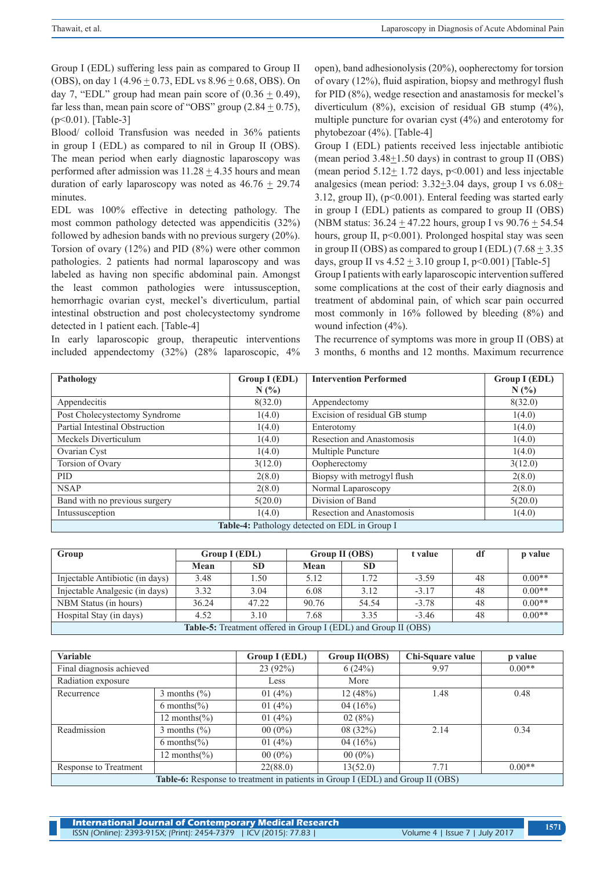Group I (EDL) suffering less pain as compared to Group II (OBS), on day 1 (4.96 + 0.73, EDL vs 8.96 + 0.68, OBS). On day 7, "EDL" group had mean pain score of  $(0.36 \pm 0.49)$ , far less than, mean pain score of "OBS" group  $(2.84 \pm 0.75)$ , (p<0.01). [Table-3]

Blood/ colloid Transfusion was needed in 36% patients in group I (EDL) as compared to nil in Group II (OBS). The mean period when early diagnostic laparoscopy was performed after admission was  $11.28 + 4.35$  hours and mean duration of early laparoscopy was noted as  $46.76 \pm 29.74$ minutes.

EDL was 100% effective in detecting pathology. The most common pathology detected was appendicitis (32%) followed by adhesion bands with no previous surgery (20%). Torsion of ovary (12%) and PID (8%) were other common pathologies. 2 patients had normal laparoscopy and was labeled as having non specific abdominal pain. Amongst the least common pathologies were intussusception, hemorrhagic ovarian cyst, meckel's diverticulum, partial intestinal obstruction and post cholecystectomy syndrome detected in 1 patient each. [Table-4]

In early laparoscopic group, therapeutic interventions included appendectomy (32%) (28% laparoscopic, 4% open), band adhesionolysis (20%), oopherectomy for torsion of ovary (12%), fluid aspiration, biopsy and methrogyl flush for PID (8%), wedge resection and anastamosis for meckel's diverticulum (8%), excision of residual GB stump (4%), multiple puncture for ovarian cyst (4%) and enterotomy for phytobezoar (4%). [Table-4]

Group I (EDL) patients received less injectable antibiotic (mean period  $3.48 \pm 1.50$  days) in contrast to group II (OBS) (mean period  $5.12 \pm 1.72$  days,  $p<0.001$ ) and less injectable analgesics (mean period:  $3.32\pm3.04$  days, group I vs  $6.08\pm$ 3.12, group II), (p<0.001). Enteral feeding was started early in group I (EDL) patients as compared to group II (OBS) (NBM status: 36.24 + 47.22 hours, group I vs 90.76 + 54.54 hours, group II, p<0.001). Prolonged hospital stay was seen in group II (OBS) as compared to group I (EDL)  $(7.68 + 3.35)$ days, group II vs  $4.52 \pm 3.10$  group I, p<0.001) [Table-5]

Group I patients with early laparoscopic intervention suffered some complications at the cost of their early diagnosis and treatment of abdominal pain, of which scar pain occurred most commonly in 16% followed by bleeding (8%) and wound infection (4%).

The recurrence of symptoms was more in group II (OBS) at 3 months, 6 months and 12 months. Maximum recurrence

| Pathology                                            | Group I (EDL) | <b>Intervention Performed</b>    | Group I (EDL) |  |  |  |
|------------------------------------------------------|---------------|----------------------------------|---------------|--|--|--|
|                                                      | N(%           |                                  | N(%           |  |  |  |
| Appendecitis                                         | 8(32.0)       | Appendectomy                     | 8(32.0)       |  |  |  |
| Post Cholecystectomy Syndrome                        | 1(4.0)        | Excision of residual GB stump    | 1(4.0)        |  |  |  |
| Partial Intestinal Obstruction                       | 1(4.0)        | Enterotomy                       | 1(4.0)        |  |  |  |
| Meckels Diverticulum                                 | 1(4.0)        | Resection and Anastomosis        | 1(4.0)        |  |  |  |
| Ovarian Cyst                                         | 1(4.0)        | Multiple Puncture                | 1(4.0)        |  |  |  |
| Torsion of Ovary                                     | 3(12.0)       | Oopherectomy                     | 3(12.0)       |  |  |  |
| <b>PID</b>                                           | 2(8.0)        | Biopsy with metrogyl flush       | 2(8.0)        |  |  |  |
| <b>NSAP</b>                                          | 2(8.0)        | Normal Laparoscopy               | 2(8.0)        |  |  |  |
| Band with no previous surgery                        | 5(20.0)       | Division of Band                 | 5(20.0)       |  |  |  |
| Intussusception                                      | 1(4.0)        | <b>Resection and Anastomosis</b> | 1(4.0)        |  |  |  |
| <b>Table-4:</b> Pathology detected on EDL in Group I |               |                                  |               |  |  |  |

| Group                                                                 | Group I (EDL) |           | Group II (OBS) |           | t value | df | p value  |  |
|-----------------------------------------------------------------------|---------------|-----------|----------------|-----------|---------|----|----------|--|
|                                                                       | Mean          | <b>SD</b> | Mean           | <b>SD</b> |         |    |          |  |
| Injectable Antibiotic (in days)                                       | 3.48          | 1.50      | 5.12           | 1.72      | $-3.59$ | 48 | $0.00**$ |  |
| Injectable Analgesic (in days)                                        | 3.32          | 3.04      | 6.08           | 3.12      | $-3.17$ | 48 | $0.00**$ |  |
| NBM Status (in hours)                                                 | 36.24         | 47.22     | 90.76          | 54.54     | $-3.78$ | 48 | $0.00**$ |  |
| Hospital Stay (in days)                                               | 4.52          | 3.10      | 7.68           | 3.35      | $-3.46$ | 48 | $0.00**$ |  |
| <b>Table-5:</b> Treatment offered in Group I (EDL) and Group II (OBS) |               |           |                |           |         |    |          |  |

| Variable                                                                              |                         | Group I (EDL) | Group II(OBS) | Chi-Square value | p value  |  |  |
|---------------------------------------------------------------------------------------|-------------------------|---------------|---------------|------------------|----------|--|--|
| Final diagnosis achieved                                                              |                         | 23(92%)       | 6(24%)        | 9.97             | $0.00**$ |  |  |
| Radiation exposure                                                                    |                         | Less          | More          |                  |          |  |  |
| Recurrence                                                                            | 3 months $(\% )$        |               | 12(48%)       | 1.48             | 0.48     |  |  |
|                                                                                       | 6 months $\frac{6}{6}$  | 01 $(4%)$     | 04(16%)       |                  |          |  |  |
|                                                                                       | 12 months $\frac{6}{6}$ | 01 $(4%)$     | 02(8%)        |                  |          |  |  |
| Readmission                                                                           | 3 months $(\% )$        | $00(0\%)$     | 08(32%)       | 2.14             | 0.34     |  |  |
|                                                                                       | 6 months $\frac{6}{6}$  | 01 $(4%)$     | 04 $(16\%)$   |                  |          |  |  |
|                                                                                       | 12 months $\frac{6}{6}$ | $00(0\%)$     | $00(0\%)$     |                  |          |  |  |
| Response to Treatment                                                                 |                         | 22(88.0)      | 13(52.0)      | 7.71             | $0.00**$ |  |  |
| <b>Table-6:</b> Response to treatment in patients in Group I (EDL) and Group II (OBS) |                         |               |               |                  |          |  |  |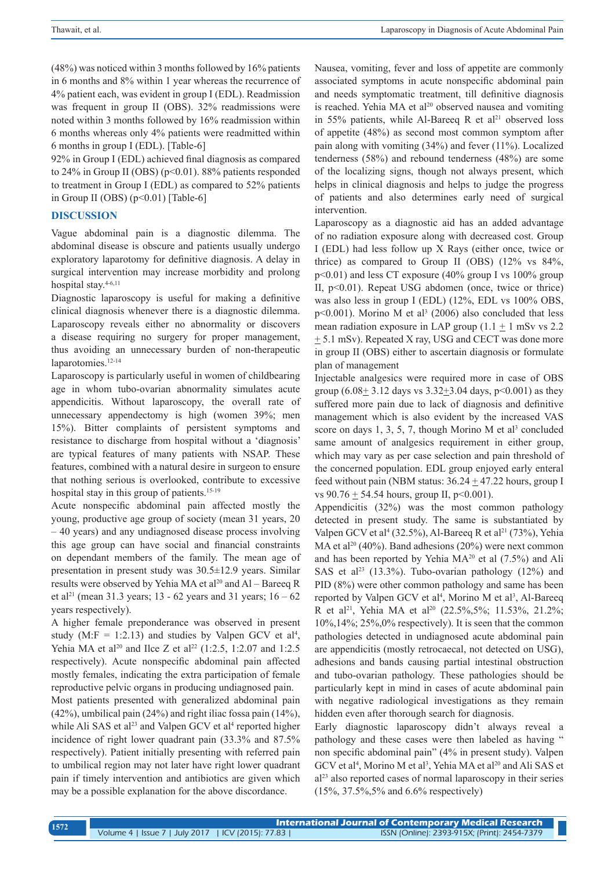(48%) was noticed within 3 months followed by 16% patients in 6 months and 8% within 1 year whereas the recurrence of 4% patient each, was evident in group I (EDL). Readmission was frequent in group II (OBS). 32% readmissions were noted within 3 months followed by 16% readmission within 6 months whereas only 4% patients were readmitted within 6 months in group I (EDL). [Table-6]

92% in Group I (EDL) achieved final diagnosis as compared to 24% in Group II (OBS) (p<0.01). 88% patients responded to treatment in Group I (EDL) as compared to 52% patients in Group II (OBS) ( $p<0.01$ ) [Table-6]

## **DISCUSSION**

Vague abdominal pain is a diagnostic dilemma. The abdominal disease is obscure and patients usually undergo exploratory laparotomy for definitive diagnosis. A delay in surgical intervention may increase morbidity and prolong hospital stay.<sup>4-6,11</sup>

Diagnostic laparoscopy is useful for making a definitive clinical diagnosis whenever there is a diagnostic dilemma. Laparoscopy reveals either no abnormality or discovers a disease requiring no surgery for proper management, thus avoiding an unnecessary burden of non-therapeutic laparotomies.<sup>12-14</sup>

Laparoscopy is particularly useful in women of childbearing age in whom tubo-ovarian abnormality simulates acute appendicitis. Without laparoscopy, the overall rate of unnecessary appendectomy is high (women 39%; men 15%). Bitter complaints of persistent symptoms and resistance to discharge from hospital without a 'diagnosis' are typical features of many patients with NSAP. These features, combined with a natural desire in surgeon to ensure that nothing serious is overlooked, contribute to excessive hospital stay in this group of patients.<sup>15-19</sup>

Acute nonspecific abdominal pain affected mostly the young, productive age group of society (mean 31 years, 20 – 40 years) and any undiagnosed disease process involving this age group can have social and financial constraints on dependant members of the family. The mean age of presentation in present study was 30.5±12.9 years. Similar results were observed by Yehia MA et al<sup>20</sup> and Al – Bareeq R et al<sup>21</sup> (mean 31.3 years; 13 - 62 years and 31 years;  $16 - 62$ years respectively).

A higher female preponderance was observed in present study (M:F = 1:2.13) and studies by Valpen GCV et al<sup>4</sup>, Yehia MA et al<sup>20</sup> and Ilce Z et al<sup>22</sup> (1:2.5, 1:2.07 and 1:2.5) respectively). Acute nonspecific abdominal pain affected mostly females, indicating the extra participation of female reproductive pelvic organs in producing undiagnosed pain.

Most patients presented with generalized abdominal pain (42%), umbilical pain (24%) and right iliac fossa pain (14%), while Ali SAS et al<sup>23</sup> and Valpen GCV et al<sup>4</sup> reported higher incidence of right lower quadrant pain (33.3% and 87.5% respectively). Patient initially presenting with referred pain to umbilical region may not later have right lower quadrant pain if timely intervention and antibiotics are given which may be a possible explanation for the above discordance.

Nausea, vomiting, fever and loss of appetite are commonly associated symptoms in acute nonspecific abdominal pain and needs symptomatic treatment, till definitive diagnosis is reached. Yehia MA et al<sup>20</sup> observed nausea and vomiting in 55% patients, while Al-Bareeq R et al<sup>21</sup> observed loss of appetite (48%) as second most common symptom after pain along with vomiting (34%) and fever (11%). Localized tenderness (58%) and rebound tenderness (48%) are some of the localizing signs, though not always present, which helps in clinical diagnosis and helps to judge the progress of patients and also determines early need of surgical intervention.

Laparoscopy as a diagnostic aid has an added advantage of no radiation exposure along with decreased cost. Group I (EDL) had less follow up X Rays (either once, twice or thrice) as compared to Group II (OBS) (12% vs 84%, p<0.01) and less CT exposure (40% group I vs 100% group II, p<0.01). Repeat USG abdomen (once, twice or thrice) was also less in group I (EDL) (12%, EDL vs 100% OBS,  $p<0.001$ ). Morino M et al<sup>3</sup> (2006) also concluded that less mean radiation exposure in LAP group  $(1.1 \pm 1 \text{ mSv vs } 2.2$  $\pm$  5.1 mSv). Repeated X ray, USG and CECT was done more in group II (OBS) either to ascertain diagnosis or formulate plan of management

Injectable analgesics were required more in case of OBS group  $(6.08 \pm 3.12 \text{ days}$  vs  $3.32 + 3.04 \text{ days}$ ,  $p < 0.001$ ) as they suffered more pain due to lack of diagnosis and definitive management which is also evident by the increased VAS score on days  $1, 3, 5, 7$ , though Morino M et al<sup>3</sup> concluded same amount of analgesics requirement in either group, which may vary as per case selection and pain threshold of the concerned population. EDL group enjoyed early enteral feed without pain (NBM status:  $36.24 \pm 47.22$  hours, group I vs  $90.76 \pm 54.54$  hours, group II, p<0.001).

Appendicitis (32%) was the most common pathology detected in present study. The same is substantiated by Valpen GCV et al<sup>4</sup> (32.5%), Al-Bareeq R et al<sup>21</sup> (73%), Yehia MA et al<sup>20</sup> (40%). Band adhesions (20%) were next common and has been reported by Yehia  $MA^{20}$  et al (7.5%) and Ali SAS et al<sup>23</sup> (13.3%). Tubo-ovarian pathology (12%) and PID (8%) were other common pathology and same has been reported by Valpen GCV et al<sup>4</sup>, Morino M et al<sup>3</sup>, Al-Bareeq R et al<sup>21</sup>, Yehia MA et al<sup>20</sup> (22.5%,5%; 11.53%, 21.2%; 10%,14%; 25%,0% respectively). It is seen that the common pathologies detected in undiagnosed acute abdominal pain are appendicitis (mostly retrocaecal, not detected on USG), adhesions and bands causing partial intestinal obstruction and tubo-ovarian pathology. These pathologies should be particularly kept in mind in cases of acute abdominal pain with negative radiological investigations as they remain hidden even after thorough search for diagnosis.

Early diagnostic laparoscopy didn't always reveal a pathology and these cases were then labeled as having " non specific abdominal pain" (4% in present study). Valpen GCV et al<sup>4</sup>, Morino M et al<sup>3</sup>, Yehia MA et al<sup>20</sup> and Ali SAS et al23 also reported cases of normal laparoscopy in their series (15%, 37.5%,5% and 6.6% respectively)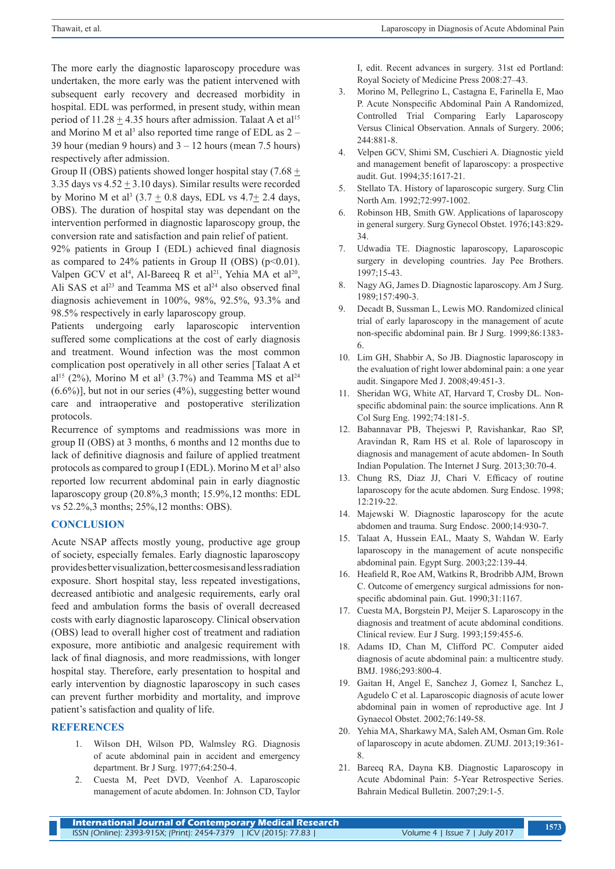The more early the diagnostic laparoscopy procedure was undertaken, the more early was the patient intervened with subsequent early recovery and decreased morbidity in hospital. EDL was performed, in present study, within mean period of  $11.28 \pm 4.35$  hours after admission. Talaat A et al<sup>15</sup> and Morino M et al<sup>3</sup> also reported time range of EDL as  $2 -$ 39 hour (median 9 hours) and  $3 - 12$  hours (mean 7.5 hours) respectively after admission.

Group II (OBS) patients showed longer hospital stay (7.68  $\pm$ 3.35 days vs  $4.52 \pm 3.10$  days). Similar results were recorded by Morino M et al<sup>3</sup>  $(3.7 \pm 0.8$  days, EDL vs  $4.7 \pm 2.4$  days, OBS). The duration of hospital stay was dependant on the intervention performed in diagnostic laparoscopy group, the conversion rate and satisfaction and pain relief of patient.

92% patients in Group I (EDL) achieved final diagnosis as compared to  $24\%$  patients in Group II (OBS) ( $p<0.01$ ). Valpen GCV et al<sup>4</sup>, Al-Bareeq R et al<sup>21</sup>, Yehia MA et al<sup>20</sup>, Ali SAS et al<sup>23</sup> and Teamma MS et al<sup>24</sup> also observed final diagnosis achievement in 100%, 98%, 92.5%, 93.3% and 98.5% respectively in early laparoscopy group.

Patients undergoing early laparoscopic intervention suffered some complications at the cost of early diagnosis and treatment. Wound infection was the most common complication post operatively in all other series [Talaat A et  $al^{15}$  (2%), Morino M et al<sup>3</sup> (3.7%) and Teamma MS et al<sup>24</sup>  $(6.6\%)$ ], but not in our series  $(4\%)$ , suggesting better wound care and intraoperative and postoperative sterilization protocols.

Recurrence of symptoms and readmissions was more in group II (OBS) at 3 months, 6 months and 12 months due to lack of definitive diagnosis and failure of applied treatment protocols as compared to group I (EDL). Morino M et al<sup>3</sup> also reported low recurrent abdominal pain in early diagnostic laparoscopy group (20.8%,3 month; 15.9%,12 months: EDL vs 52.2%,3 months; 25%,12 months: OBS).

## **CONCLUSION**

Acute NSAP affects mostly young, productive age group of society, especially females. Early diagnostic laparoscopy provides better visualization, better cosmesis and less radiation exposure. Short hospital stay, less repeated investigations, decreased antibiotic and analgesic requirements, early oral feed and ambulation forms the basis of overall decreased costs with early diagnostic laparoscopy. Clinical observation (OBS) lead to overall higher cost of treatment and radiation exposure, more antibiotic and analgesic requirement with lack of final diagnosis, and more readmissions, with longer hospital stay. Therefore, early presentation to hospital and early intervention by diagnostic laparoscopy in such cases can prevent further morbidity and mortality, and improve patient's satisfaction and quality of life.

## **REFERENCES**

- 1. Wilson DH, Wilson PD, Walmsley RG. Diagnosis of acute abdominal pain in accident and emergency department. Br J Surg. 1977;64:250-4.
- 2. Cuesta M, Peet DVD, Veenhof A. Laparoscopic management of acute abdomen. In: Johnson CD, Taylor

I, edit. Recent advances in surgery. 31st ed Portland: Royal Society of Medicine Press 2008:27–43.

- 3. Morino M, Pellegrino L, Castagna E, Farinella E, Mao P. Acute Nonspecific Abdominal Pain A Randomized, Controlled Trial Comparing Early Laparoscopy Versus Clinical Observation. Annals of Surgery. 2006; 244:881-8.
- 4. Velpen GCV, Shimi SM, Cuschieri A. Diagnostic yield and management benefit of laparoscopy: a prospective audit. Gut. 1994;35:1617-21.
- 5. Stellato TA. History of laparoscopic surgery. Surg Clin North Am. 1992;72:997-1002.
- 6. Robinson HB, Smith GW. Applications of laparoscopy in general surgery. Surg Gynecol Obstet. 1976;143:829- 34.
- 7. Udwadia TE. Diagnostic laparoscopy, Laparoscopic surgery in developing countries. Jay Pee Brothers. 1997;15-43.
- 8. Nagy AG, James D. Diagnostic laparoscopy. Am J Surg. 1989;157:490-3.
- 9. Decadt B, Sussman L, Lewis MO. Randomized clinical trial of early laparoscopy in the management of acute non-specific abdominal pain. Br J Surg. 1999;86:1383- 6.
- 10. Lim GH, Shabbir A, So JB. Diagnostic laparoscopy in the evaluation of right lower abdominal pain: a one year audit. Singapore Med J. 2008;49:451-3.
- 11. Sheridan WG, White AT, Harvard T, Crosby DL. Nonspecific abdominal pain: the source implications. Ann R Col Surg Eng. 1992;74:181-5.
- 12. Babannavar PB, Thejeswi P, Ravishankar, Rao SP, Aravindan R, Ram HS et al. Role of laparoscopy in diagnosis and management of acute abdomen- In South Indian Population. The Internet J Surg. 2013;30:70-4.
- 13. Chung RS, Diaz JJ, Chari V. Efficacy of routine laparoscopy for the acute abdomen. Surg Endosc. 1998; 12:219-22.
- 14. Majewski W. Diagnostic laparoscopy for the acute abdomen and trauma. Surg Endosc. 2000;14:930-7.
- 15. Talaat A, Hussein EAL, Maaty S, Wahdan W. Early laparoscopy in the management of acute nonspecific abdominal pain. Egypt Surg. 2003;22:139-44.
- 16. Heafield R, Roe AM, Watkins R, Brodribb AJM, Brown C. Outcome of emergency surgical admissions for nonspecific abdominal pain. Gut. 1990;31:1167.
- 17. Cuesta MA, Borgstein PJ, Meijer S. Laparoscopy in the diagnosis and treatment of acute abdominal conditions. Clinical review. Eur J Surg. 1993;159:455-6.
- 18. Adams ID, Chan M, Clifford PC. Computer aided diagnosis of acute abdominal pain: a multicentre study. BMJ. 1986;293:800-4.
- 19. Gaitan H, Angel E, Sanchez J, Gomez I, Sanchez L, Agudelo C et al. Laparoscopic diagnosis of acute lower abdominal pain in women of reproductive age. Int J Gynaecol Obstet. 2002;76:149-58.
- 20. Yehia MA, Sharkawy MA, Saleh AM, Osman Gm. Role of laparoscopy in acute abdomen. ZUMJ. 2013;19:361- 8.
- 21. Bareeq RA, Dayna KB. Diagnostic Laparoscopy in Acute Abdominal Pain: 5-Year Retrospective Series. Bahrain Medical Bulletin. 2007;29:1-5.